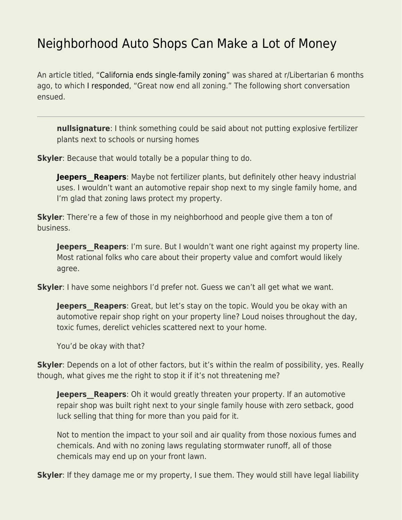## [Neighborhood Auto Shops Can Make a Lot of Money](https://everything-voluntary.com/neighborhood-auto-shops-can-make-a-lot-of-money)

An article titled, ["California ends single-family zoning"](https://www.economist.com/united-states/2021/09/23/california-ends-single-family-zoning) was shared at r/Libertarian 6 months ago, to which [I responded,](https://www.reddit.com/r/Libertarian/comments/pyfiri/comment/heulrim/?utm_source=reddit&utm_medium=web2x&context=3) "Great now end all zoning." The following short conversation ensued.

**nullsignature**: I think something could be said about not putting explosive fertilizer plants next to schools or nursing homes

**Skyler**: Because that would totally be a popular thing to do.

**Jeepers** Reapers: Maybe not fertilizer plants, but definitely other heavy industrial uses. I wouldn't want an automotive repair shop next to my single family home, and I'm glad that zoning laws protect my property.

**Skyler**: There're a few of those in my neighborhood and people give them a ton of business.

**Jeepers** Reapers: I'm sure. But I wouldn't want one right against my property line. Most rational folks who care about their property value and comfort would likely agree.

**Skyler**: I have some neighbors I'd prefer not. Guess we can't all get what we want.

**Jeepers\_Reapers**: Great, but let's stay on the topic. Would you be okay with an automotive repair shop right on your property line? Loud noises throughout the day, toxic fumes, derelict vehicles scattered next to your home.

You'd be okay with that?

**Skyler**: Depends on a lot of other factors, but it's within the realm of possibility, yes. Really though, what gives me the right to stop it if it's not threatening me?

**Jeepers** Reapers: Oh it would greatly threaten your property. If an automotive repair shop was built right next to your single family house with zero setback, good luck selling that thing for more than you paid for it.

Not to mention the impact to your soil and air quality from those noxious fumes and chemicals. And with no zoning laws regulating stormwater runoff, all of those chemicals may end up on your front lawn.

**Skyler**: If they damage me or my property, I sue them. They would still have legal liability